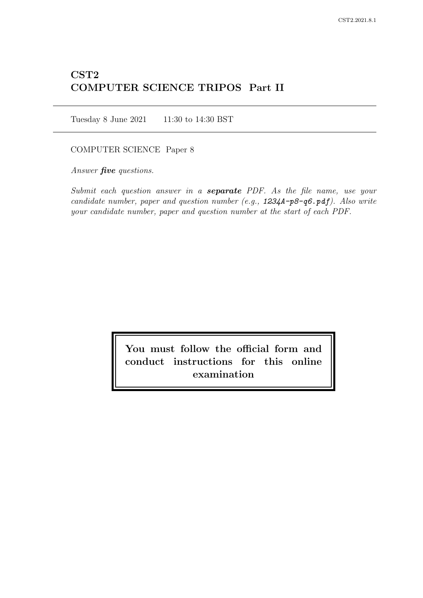# CST2 COMPUTER SCIENCE TRIPOS Part II

Tuesday 8 June 2021 11:30 to 14:30 BST

# COMPUTER SCIENCE Paper 8

Answer *five* questions.

Submit each question answer in a **separate** PDF. As the file name, use your candidate number, paper and question number (e.g., 1234A-p8-q6.pdf). Also write your candidate number, paper and question number at the start of each PDF.

> You must follow the official form and conduct instructions for this online examination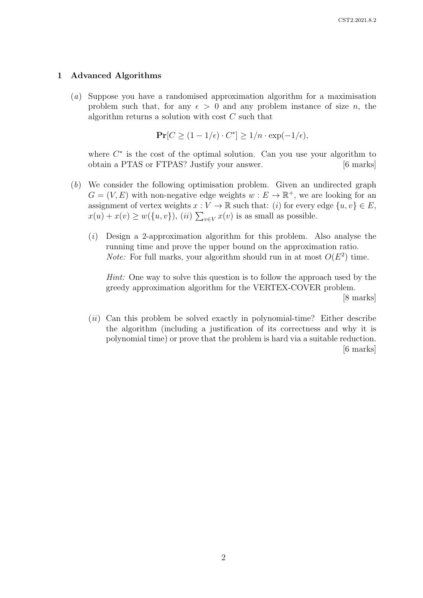# 1 Advanced Algorithms

(a) Suppose you have a randomised approximation algorithm for a maximisation problem such that, for any  $\epsilon > 0$  and any problem instance of size n, the algorithm returns a solution with cost  $C$  such that

$$
\Pr[C \ge (1 - 1/\epsilon) \cdot C^*] \ge 1/n \cdot \exp(-1/\epsilon),
$$

where  $C^*$  is the cost of the optimal solution. Can you use your algorithm to obtain a PTAS or FTPAS? Justify your answer. [6 marks]

- (b) We consider the following optimisation problem. Given an undirected graph  $G = (V, E)$  with non-negative edge weights  $w : E \to \mathbb{R}^+$ , we are looking for an assignment of vertex weights  $x : V \to \mathbb{R}$  such that: (i) for every edge  $\{u, v\} \in E$ ,  $x(u) + x(v) \ge w({u, v}),$  (*ii*)  $\sum_{v \in V} x(v)$  is as small as possible.
	- $(i)$  Design a 2-approximation algorithm for this problem. Also analyse the running time and prove the upper bound on the approximation ratio. *Note:* For full marks, your algorithm should run in at most  $O(E^2)$  time.

Hint: One way to solve this question is to follow the approach used by the greedy approximation algorithm for the VERTEX-COVER problem. [8 marks]

 $(ii)$  Can this problem be solved exactly in polynomial-time? Either describe the algorithm (including a justification of its correctness and why it is polynomial time) or prove that the problem is hard via a suitable reduction. [6 marks]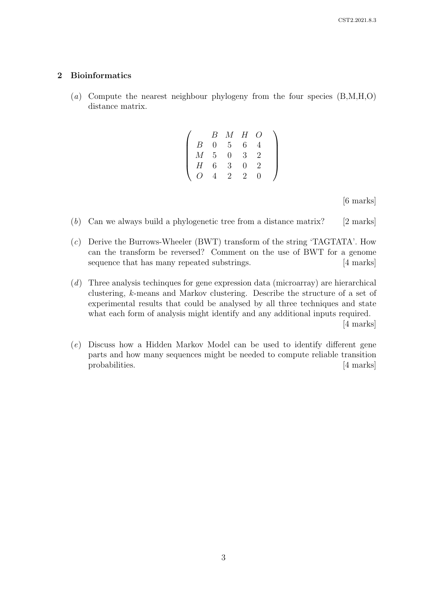# 2 Bioinformatics

(a) Compute the nearest neighbour phylogeny from the four species (B,M,H,O) distance matrix.

|   | B  | $M_{-}$        | Н             | ( ) |  |
|---|----|----------------|---------------|-----|--|
| B | 0  | $5^{\circ}$    | 6             |     |  |
| М | -5 | 0              | 3             | 2   |  |
| H | 6  | 3              | $\mathbf{0}$  | 2   |  |
|   |    | $\overline{2}$ | $\mathcal{D}$ |     |  |

[6 marks]

- (b) Can we always build a phylogenetic tree from a distance matrix? [2 marks]
- (c) Derive the Burrows-Wheeler (BWT) transform of the string 'TAGTATA'. How can the transform be reversed? Comment on the use of BWT for a genome sequence that has many repeated substrings. [4 marks]
- (d) Three analysis techinques for gene expression data (microarray) are hierarchical clustering, k-means and Markov clustering. Describe the structure of a set of experimental results that could be analysed by all three techniques and state what each form of analysis might identify and any additional inputs required. [4 marks]
- (e) Discuss how a Hidden Markov Model can be used to identify different gene parts and how many sequences might be needed to compute reliable transition probabilities. [4 marks]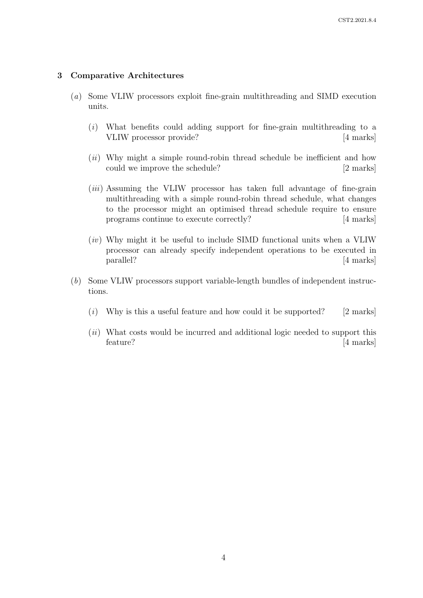# 3 Comparative Architectures

- (a) Some VLIW processors exploit fine-grain multithreading and SIMD execution units.
	- (i) What benefits could adding support for fine-grain multithreading to a VLIW processor provide? [4 marks]
	- $(ii)$  Why might a simple round-robin thread schedule be inefficient and how could we improve the schedule? [2 marks]
	- (*iii*) Assuming the VLIW processor has taken full advantage of fine-grain multithreading with a simple round-robin thread schedule, what changes to the processor might an optimised thread schedule require to ensure programs continue to execute correctly? [4 marks]
	- $(iv)$  Why might it be useful to include SIMD functional units when a VLIW processor can already specify independent operations to be executed in parallel? [4 marks]
- (b) Some VLIW processors support variable-length bundles of independent instructions.
	- (i) Why is this a useful feature and how could it be supported? [2 marks]
	- (*ii*) What costs would be incurred and additional logic needed to support this feature? [4 marks]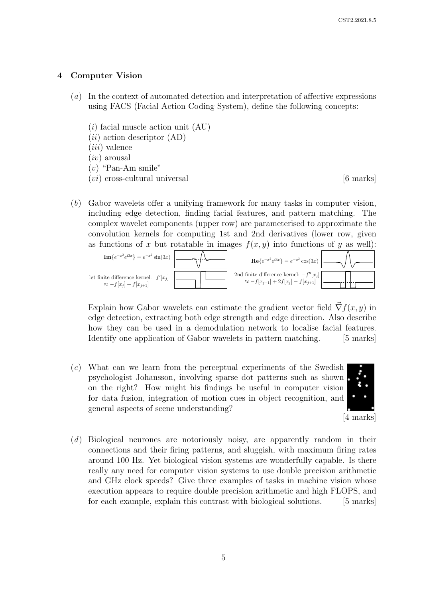# 4 Computer Vision

- (a) In the context of automated detection and interpretation of affective expressions using FACS (Facial Action Coding System), define the following concepts:
	- $(i)$  facial muscle action unit  $(AU)$
	- $(ii)$  action descriptor  $(AD)$
	- $(iii)$  valence
	- $(iv)$  arousal
	- $(v)$  "Pan-Am smile"
	- $(vi)$  cross-cultural universal  $[6 \text{ marks}]$

(b) Gabor wavelets offer a unifying framework for many tasks in computer vision, including edge detection, finding facial features, and pattern matching. The complex wavelet components (upper row) are parameterised to approximate the complex wavelet components (upper row) are parameterised to approximate the<br>convolution kernels for computing 1st and 2nd derivatives (lower row, given as functions of x but rotatable in images  $f(x, y)$  into functions of y as well):  $n$ volution kernels fo



Explain how Gabor wavelets can estimate the gradient vector field  $\vec{\nabla} f(x, y)$  in on notwork to localise how they can be used in a demodulation network to localise facial features. edge detection, extracting both edge strength and edge direction. Also describe Identify one application of Gabor wavelets in pattern matching. [5 marks]

 $(c)$  What can we learn from the perceptual experiments of the Swedish psychologist Johansson, involving sparse dot patterns such as shown on the right? How might his findings be useful in computer vision for data fusion, integration of motion cues in object recognition, and general aspects of scene understanding?



(d) Biological neurones are notoriously noisy, are apparently random in their connections and their firing patterns, and sluggish, with maximum firing rates around 100 Hz. Yet biological vision systems are wonderfully capable. Is there really any need for computer vision systems to use double precision arithmetic and GHz clock speeds? Give three examples of tasks in machine vision whose execution appears to require double precision arithmetic and high FLOPS, and for each example, explain this contrast with biological solutions. [5 marks]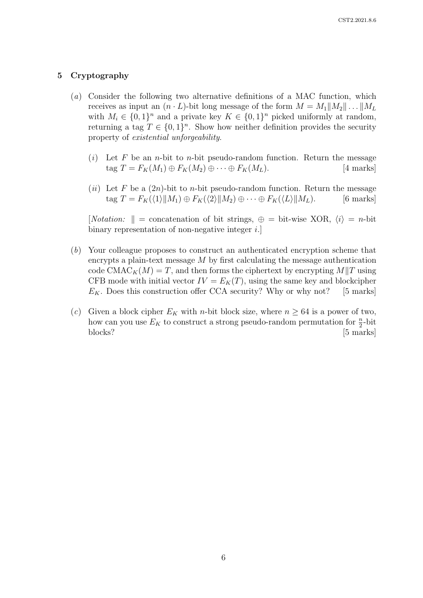# 5 Cryptography

- (a) Consider the following two alternative definitions of a MAC function, which receives as input an  $(n \cdot L)$ -bit long message of the form  $M = M_1||M_2|| \dots ||M_L$ with  $M_i \in \{0,1\}^n$  and a private key  $K \in \{0,1\}^n$  picked uniformly at random, returning a tag  $T \in \{0,1\}^n$ . Show how neither definition provides the security property of existential unforgeability.
	- (i) Let F be an *n*-bit to *n*-bit pseudo-random function. Return the message tag  $T = F_K(M_1) \oplus F_K(M_2) \oplus \cdots \oplus F_K(M_L).$  [4 marks]
	- (ii) Let F be a  $(2n)$ -bit to n-bit pseudo-random function. Return the message tag  $T = F_K(\langle 1 \rangle || M_1) \oplus F_K(\langle 2 \rangle || M_2) \oplus \cdots \oplus F_K(\langle L \rangle || M_L).$  [6 marks]

[*Notation:*  $\parallel$  = concatenation of bit strings,  $\oplus$  = bit-wise XOR,  $\langle i \rangle$  = *n*-bit binary representation of non-negative integer  $i$ .

- (b) Your colleague proposes to construct an authenticated encryption scheme that encrypts a plain-text message  $M$  by first calculating the message authentication code CMAC<sub>K</sub>(M) = T, and then forms the ciphertext by encrypting M||T using CFB mode with initial vector  $IV = E_K(T)$ , using the same key and blockcipher  $E_K$ . Does this construction offer CCA security? Why or why not? [5 marks]
- (c) Given a block cipher  $E_K$  with n-bit block size, where  $n \geq 64$  is a power of two, how can you use  $E_K$  to construct a strong pseudo-random permutation for  $\frac{n}{2}$ -bit blocks? [5 marks]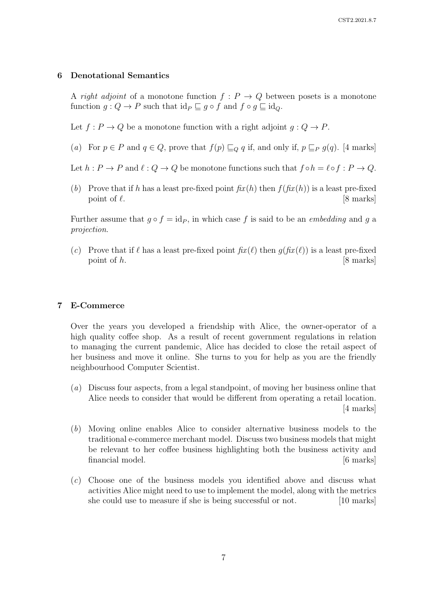# 6 Denotational Semantics

A right adjoint of a monotone function  $f: P \to Q$  between posets is a monotone function  $g: Q \to P$  such that  $id_P \sqsubseteq g \circ f$  and  $f \circ g \sqsubseteq id_Q$ .

Let  $f: P \to Q$  be a monotone function with a right adjoint  $g: Q \to P$ .

(a) For  $p \in P$  and  $q \in Q$ , prove that  $f(p) \sqsubseteq_Q q$  if, and only if,  $p \sqsubseteq_P g(q)$ . [4 marks]

Let  $h : P \to P$  and  $\ell : Q \to Q$  be monotone functions such that  $f \circ h = \ell \circ f : P \to Q$ .

(b) Prove that if h has a least pre-fixed point  $fix(h)$  then  $f(f(x(h))$  is a least pre-fixed point of  $\ell$ .  $[8 \text{ marks}]$ 

Further assume that  $g \circ f = id_P$ , in which case f is said to be an *embedding* and g a projection.

(c) Prove that if  $\ell$  has a least pre-fixed point  $\hbar x(\ell)$  then  $q(\hbar x(\ell))$  is a least pre-fixed point of h. [8 marks]

#### 7 E-Commerce

Over the years you developed a friendship with Alice, the owner-operator of a high quality coffee shop. As a result of recent government regulations in relation to managing the current pandemic, Alice has decided to close the retail aspect of her business and move it online. She turns to you for help as you are the friendly neighbourhood Computer Scientist.

- (a) Discuss four aspects, from a legal standpoint, of moving her business online that Alice needs to consider that would be different from operating a retail location. [4 marks]
- (b) Moving online enables Alice to consider alternative business models to the traditional e-commerce merchant model. Discuss two business models that might be relevant to her coffee business highlighting both the business activity and financial model. [6 marks]
- (c) Choose one of the business models you identified above and discuss what activities Alice might need to use to implement the model, along with the metrics she could use to measure if she is being successful or not. [10 marks]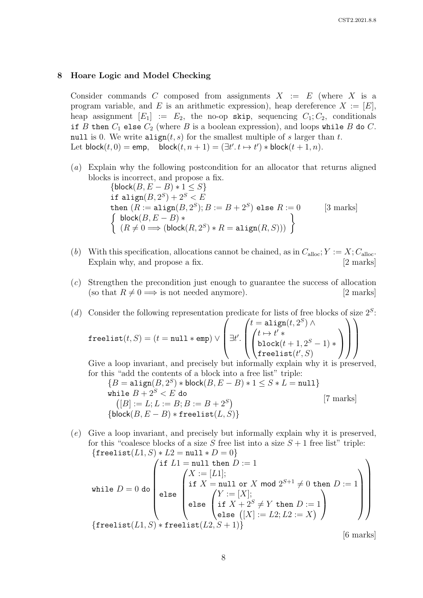#### 8 Hoare Logic and Model Checking

Consider commands C composed from assignments  $X := E$  (where X is a program variable, and E is an arithmetic expression), heap dereference  $X := [E]$ , heap assignment  $[E_1] := E_2$ , the no-op skip, sequencing  $C_1; C_2$ , conditionals if B then  $C_1$  else  $C_2$  (where B is a boolean expression), and loops while B do C. null is 0. We write  $\text{align}(t, s)$  for the smallest multiple of s larger than t. Let  $\mathsf{block}(t,0) = \mathsf{emp}, \quad \mathsf{block}(t,n+1) = (\exists t'.\ t \mapsto t') * \mathsf{block}(t+1,n).$ 

(a) Explain why the following postcondition for an allocator that returns aligned blocks is incorrect, and propose a fix.

$$
\begin{array}{l}\n\{\text{block}(B, E - B) * 1 \leq S\} \\
\text{if align}(B, 2^S) + 2^S < E \\
\text{then } (R := \text{align}(B, 2^S); B := B + 2^S) \text{ else } R := 0 \qquad [3 \text{ marks}] \\
\left\{\begin{array}{l}\n\text{block}(B, E - B) * \\
(R \neq 0 \implies (\text{block}(R, 2^S) * R = \text{align}(R, S)))\n\end{array}\right\}\n\end{array}
$$

- (b) With this specification, allocations cannot be chained, as in  $C_{\text{alloc}}$ ;  $Y := X$ ;  $C_{\text{alloc}}$ . Explain why, and propose a fix. [2 marks]
- (c) Strengthen the precondition just enough to guarantee the success of allocation (so that  $R \neq 0 \Longrightarrow$  is not needed anymore). [2 marks]

(d) Consider the following representation predicate for lists of free blocks of size  $2<sup>S</sup>$ .  $\texttt{freelist}(t, S) = (t = \texttt{null} * \texttt{emp}) \vee$  $\sqrt{ }$  $\Big\}$   $\exists t'.$  $\sqrt{ }$  $\vert$  $t = \texttt{align}(t, 2^S)$  $\sqrt{ }$ ) ∧  $\overline{1}$  $t \mapsto t' *$ block $(t+1, 2^S - 1)$  \*  ${\tt freelist}(t', S)$  $\setminus$  $\overline{ }$  $\setminus$  $\Bigg\}$  $\setminus$  $\Bigg\}$ 

Give a loop invariant, and precisely but informally explain why it is preserved, for this "add the contents of a block into a free list" triple:

$$
{B = \text{align}(B, 2^S) * \text{block}(B, E - B) * 1 \le S * L = \text{null}}
$$
\n
$$
\text{while } B + 2^S < E \text{ do}
$$
\n
$$
([B] := L; L := B; B := B + 2^S)
$$
\n
$$
{\text{block}(B, E - B) * \text{freelist}(L, S)}
$$
\n
$$
\{ \text{block}(B, E - B) * \text{freelist}(L, S) \}
$$
\n
$$
[7 \text{ marks}]
$$

(e) Give a loop invariant, and precisely but informally explain why it is preserved, for this "coalesce blocks of a size S free list into a size  $S + 1$  free list" triple:  ${f_{\text{frag}}(L1, S) * L2 = \text{null} * D = 0}$ 

$$
\begin{pmatrix}\n\text{if } L1 = \text{null then } D := 1 \\
\text{while } D = 0 \text{ do} \\
\text{else} \\
\text{if } X = \text{null or } X \text{ mod } 2^{S+1} \neq 0 \text{ then } D := 1 \\
\text{else } \begin{pmatrix}\nX := [L1]; \\
\text{if } X = \text{null or } X \text{ mod } 2^{S+1} \neq 0 \text{ then } D := 1 \\
\text{if } X + 2^S \neq Y \text{ then } D := 1 \\
\text{else } ([X] := L2; L2 := X)\n\end{pmatrix}\n\end{pmatrix}
$$
\n{freelist(L1, S) \* freelist(L2, S + 1)}

[6 marks]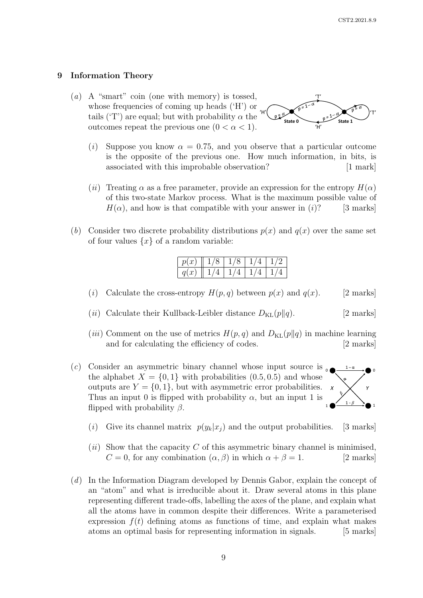$1 - \alpha$ 

1 - *β*

# 9 Information Theory

- (a) A "smart" coin (one with memory) is tossed, whose frequencies of coming up heads ('H') or tails ('T') are equal; but with probability  $\alpha$  the outcomes repeat the previous one  $(0 < \alpha < 1)$ . 'T'  $H'$   $\alpha$   $\leftarrow$   $\alpha$   $\leftarrow$   $\alpha$   $\leftarrow$   $\alpha$   $\leftarrow$   $\alpha$   $\leftarrow$   $\alpha$ 'H' **State 0 State 1**
	- (i) Suppose you know  $\alpha = 0.75$ , and you observe that a particular outcome is the opposite of the previous one. How much information, in bits, is associated with this improbable observation? [1 mark]
	- (ii) Treating  $\alpha$  as a free parameter, provide an expression for the entropy  $H(\alpha)$ of this two-state Markov process. What is the maximum possible value of  $H(\alpha)$ , and how is that compatible with your answer in (i)? [3 marks]
- (b) Consider two discrete probability distributions  $p(x)$  and  $q(x)$  over the same set of four values  $\{x\}$  of a random variable:

| p(x) |  |  |
|------|--|--|
| q(x) |  |  |

- (i) Calculate the cross-entropy  $H(p,q)$  between  $p(x)$  and  $q(x)$ . [2 marks]
- (*ii*) Calculate their Kullback-Leibler distance  $D_{\text{KL}}(p||q)$ . [2 marks]
- (*iii*) Comment on the use of metrics  $H(p,q)$  and  $D_{\text{KL}}(p||q)$  in machine learning and for calculating the efficiency of codes. [2 marks] and for calculating the efficiency of codes.
- (c) Consider an asymmetric binary channel whose input source is  $\epsilon$ the alphabet  $X = \{0, 1\}$  with probabilities  $(0.5, 0.5)$  and whose outputs are  $Y = \{0, 1\}$ , but with asymmetric error probabilities. Thus an input 0 is flipped with probability  $\alpha$ , but an input 1 is flipped with probability  $\beta$ . *X Y*  $\circ$   $\overbrace{\hspace{1.5cm}}^{\bullet}$   $\overbrace{\hspace{1.5cm}}^{\bullet}$   $\circ$  $1 \bullet \longrightarrow 1$ 
	- (i) Give its channel matrix  $p(y_k|x_i)$  and the output probabilities. [3 marks]
	- (ii) Show that the capacity C of this asymmetric binary channel is minimised,  $C = 0$ , for any combination  $(\alpha, \beta)$  in which  $\alpha + \beta = 1$ . [2 marks]
- (d) In the Information Diagram developed by Dennis Gabor, explain the concept of an "atom" and what is irreducible about it. Draw several atoms in this plane representing different trade-offs, labelling the axes of the plane, and explain what all the atoms have in common despite their differences. Write a parameterised expression  $f(t)$  defining atoms as functions of time, and explain what makes atoms an optimal basis for representing information in signals. [5 marks]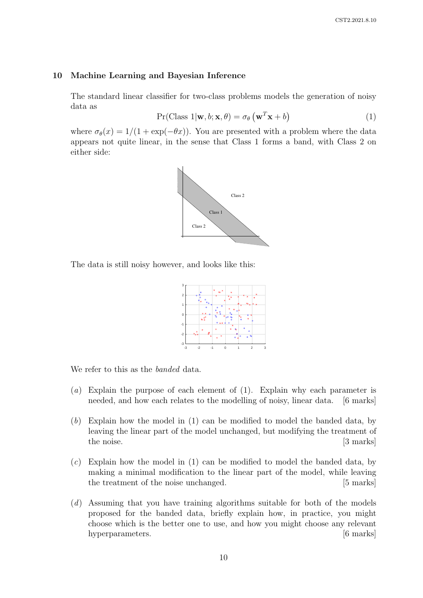#### 10 Machine Learning and Bayesian Inference

The standard linear classifier for two-class problems models the generation of noisy data as

$$
Pr(Class 1 | \mathbf{w}, b; \mathbf{x}, \theta) = \sigma_{\theta} \left( \mathbf{w}^{T} \mathbf{x} + b \right)
$$
 (1)

where  $\sigma_{\theta}(x) = 1/(1 + \exp(-\theta x))$ . You are presented with a problem where the data appears not quite linear, in the sense that Class 1 forms a band, with Class 2 on either side:



The data is still noisy however, and looks like this:



We refer to this as the *banded* data.

- (a) Explain the purpose of each element of (1). Explain why each parameter is needed, and how each relates to the modelling of noisy, linear data. [6 marks]
- (b) Explain how the model in (1) can be modified to model the banded data, by leaving the linear part of the model unchanged, but modifying the treatment of the noise. [3 marks]
- $(c)$  Explain how the model in (1) can be modified to model the banded data, by making a minimal modification to the linear part of the model, while leaving the treatment of the noise unchanged. [5 marks]
- (d) Assuming that you have training algorithms suitable for both of the models proposed for the banded data, briefly explain how, in practice, you might choose which is the better one to use, and how you might choose any relevant hyperparameters. [6 marks]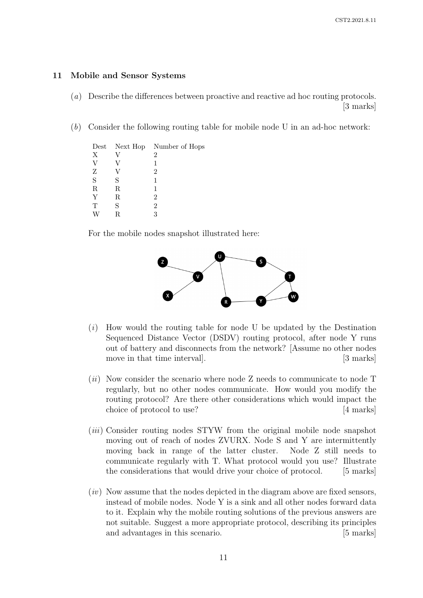## 11 Mobile and Sensor Systems

- (a) Describe the differences between proactive and reactive ad hoc routing protocols. [3 marks]
- (b) Consider the following routing table for mobile node U in an ad-hoc network:

|             |   | Dest Next Hop Number of Hops |
|-------------|---|------------------------------|
| X           |   | $\overline{2}$               |
| V           |   |                              |
| Ζ           |   | 2                            |
| S           | S | 1                            |
| $\mathbf R$ | R |                              |
| Y           | R | 2                            |
| T           | S | 2                            |
|             | R | 3                            |

For the mobile nodes snapshot illustrated here:



- $(i)$  How would the routing table for node U be updated by the Destination Sequenced Distance Vector (DSDV) routing protocol, after node Y runs out of battery and disconnects from the network? [Assume no other nodes move in that time interval. [3 marks] [3 marks]
- $(ii)$  Now consider the scenario where node Z needs to communicate to node T regularly, but no other nodes communicate. How would you modify the routing protocol? Are there other considerations which would impact the choice of protocol to use? [4 marks]
- (iii) Consider routing nodes STYW from the original mobile node snapshot moving out of reach of nodes ZVURX. Node S and Y are intermittently moving back in range of the latter cluster. Node Z still needs to communicate regularly with T. What protocol would you use? Illustrate the considerations that would drive your choice of protocol. [5 marks]
- $(iv)$  Now assume that the nodes depicted in the diagram above are fixed sensors, instead of mobile nodes. Node Y is a sink and all other nodes forward data to it. Explain why the mobile routing solutions of the previous answers are not suitable. Suggest a more appropriate protocol, describing its principles and advantages in this scenario. [5 marks]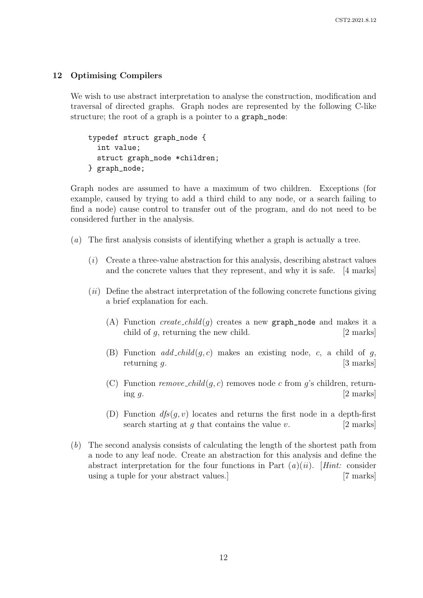# 12 Optimising Compilers

We wish to use abstract interpretation to analyse the construction, modification and traversal of directed graphs. Graph nodes are represented by the following C-like structure; the root of a graph is a pointer to a graph\_node:

typedef struct graph\_node { int value; struct graph\_node \*children; } graph\_node;

Graph nodes are assumed to have a maximum of two children. Exceptions (for example, caused by trying to add a third child to any node, or a search failing to find a node) cause control to transfer out of the program, and do not need to be considered further in the analysis.

- (a) The first analysis consists of identifying whether a graph is actually a tree.
	- $(i)$  Create a three-value abstraction for this analysis, describing abstract values and the concrete values that they represent, and why it is safe. [4 marks]
	- $(ii)$  Define the abstract interpretation of the following concrete functions giving a brief explanation for each.
		- (A) Function *create\_child(g)* creates a new graph\_node and makes it a child of q, returning the new child. [2 marks]
		- (B) Function  $add\_child(g, c)$  makes an existing node, c, a child of g, returning  $q$ . [3 marks]
		- (C) Function remove child(g, c) removes node c from g's children, returning  $g$ . [2 marks]
		- (D) Function  $df_s(q, v)$  locates and returns the first node in a depth-first search starting at q that contains the value v.  $[2 \text{ marks}]$
- (b) The second analysis consists of calculating the length of the shortest path from a node to any leaf node. Create an abstraction for this analysis and define the abstract interpretation for the four functions in Part  $(a)(ii)$ . [Hint: consider using a tuple for your abstract values.] [7 marks]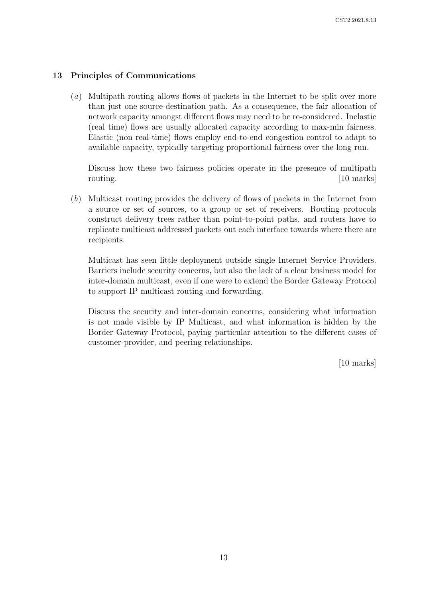# 13 Principles of Communications

(a) Multipath routing allows flows of packets in the Internet to be split over more than just one source-destination path. As a consequence, the fair allocation of network capacity amongst different flows may need to be re-considered. Inelastic (real time) flows are usually allocated capacity according to max-min fairness. Elastic (non real-time) flows employ end-to-end congestion control to adapt to available capacity, typically targeting proportional fairness over the long run.

Discuss how these two fairness policies operate in the presence of multipath routing. [10 marks]

(b) Multicast routing provides the delivery of flows of packets in the Internet from a source or set of sources, to a group or set of receivers. Routing protocols construct delivery trees rather than point-to-point paths, and routers have to replicate multicast addressed packets out each interface towards where there are recipients.

Multicast has seen little deployment outside single Internet Service Providers. Barriers include security concerns, but also the lack of a clear business model for inter-domain multicast, even if one were to extend the Border Gateway Protocol to support IP multicast routing and forwarding.

Discuss the security and inter-domain concerns, considering what information is not made visible by IP Multicast, and what information is hidden by the Border Gateway Protocol, paying particular attention to the different cases of customer-provider, and peering relationships.

[10 marks]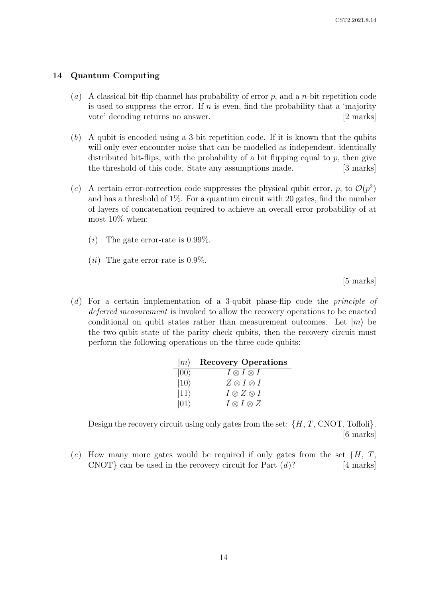## 14 Quantum Computing

- (a) A classical bit-flip channel has probability of error p, and a n-bit repetition code is used to suppress the error. If  $n$  is even, find the probability that a 'majority vote' decoding returns no answer. [2 marks]
- (b) A qubit is encoded using a 3-bit repetition code. If it is known that the qubits will only ever encounter noise that can be modelled as independent, identically distributed bit-flips, with the probability of a bit flipping equal to  $p$ , then give the threshold of this code. State any assumptions made. [3 marks]
- (c) A certain error-correction code suppresses the physical qubit error, p, to  $\mathcal{O}(p^2)$ and has a threshold of  $1\%$ . For a quantum circuit with 20 gates, find the number of layers of concatenation required to achieve an overall error probability of at most 10% when:
	- (*i*) The gate error-rate is  $0.99\%$ .
	- (*ii*) The gate error-rate is  $0.9\%$ .

[5 marks]

(d) For a certain implementation of a 3-qubit phase-flip code the principle of deferred measurement is invoked to allow the recovery operations to be enacted conditional on qubit states rather than measurement outcomes. Let  $|m\rangle$  be the two-qubit state of the parity check qubits, then the recovery circuit must perform the following operations on the three code qubits:

| $ m\rangle$  | <b>Recovery Operations</b> |
|--------------|----------------------------|
| $ 00\rangle$ | $I \otimes I \otimes I$    |
| $ 10\rangle$ | $Z \otimes I \otimes I$    |
| $ 11\rangle$ | $I \otimes Z \otimes I$    |
| $ 01\rangle$ | $I \otimes I \otimes Z$    |

Design the recovery circuit using only gates from the set:  $\{H, T, CNOT, Toffoli\}$ . [6 marks]

(e) How many more gates would be required if only gates from the set  $\{H, T, \text{CNOT}\}$  can be used in the recovery circuit for Part  $(d)$ ? [4 marks] CNOT} can be used in the recovery circuit for Part  $(d)$ ?